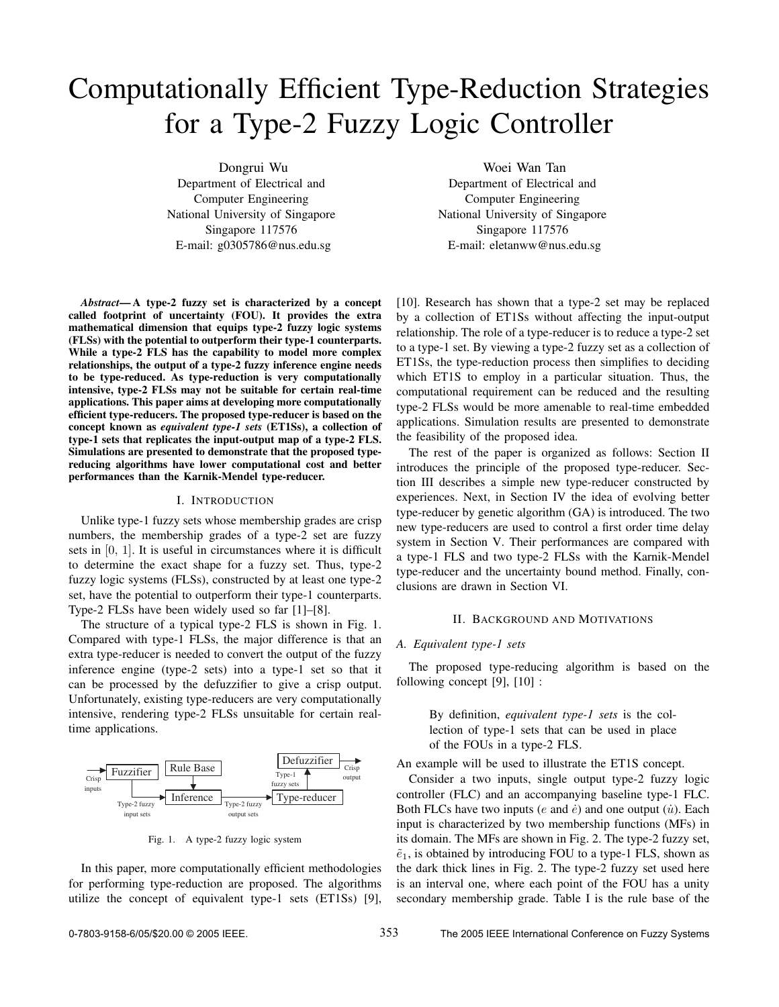# Computationally Efficient Type-Reduction Strategies for a Type-2 Fuzzy Logic Controller

Dongrui Wu Department of Electrical and Computer Engineering National University of Singapore Singapore 117576 E-mail: g0305786@nus.edu.sg

*Abstract***— A type-2 fuzzy set is characterized by a concept called footprint of uncertainty (FOU). It provides the extra mathematical dimension that equips type-2 fuzzy logic systems (FLSs) with the potential to outperform their type-1 counterparts. While a type-2 FLS has the capability to model more complex relationships, the output of a type-2 fuzzy inference engine needs to be type-reduced. As type-reduction is very computationally intensive, type-2 FLSs may not be suitable for certain real-time applications. This paper aims at developing more computationally efficient type-reducers. The proposed type-reducer is based on the concept known as** *equivalent type-1 sets* **(ET1Ss), a collection of type-1 sets that replicates the input-output map of a type-2 FLS. Simulations are presented to demonstrate that the proposed typereducing algorithms have lower computational cost and better performances than the Karnik-Mendel type-reducer.**

## I. INTRODUCTION

Unlike type-1 fuzzy sets whose membership grades are crisp numbers, the membership grades of a type-2 set are fuzzy sets in [0, 1]. It is useful in circumstances where it is difficult to determine the exact shape for a fuzzy set. Thus, type-2 fuzzy logic systems (FLSs), constructed by at least one type-2 set, have the potential to outperform their type-1 counterparts. Type-2 FLSs have been widely used so far [1]–[8].

The structure of a typical type-2 FLS is shown in Fig. 1. Compared with type-1 FLSs, the major difference is that an extra type-reducer is needed to convert the output of the fuzzy inference engine (type-2 sets) into a type-1 set so that it can be processed by the defuzzifier to give a crisp output. Unfortunately, existing type-reducers are very computationally intensive, rendering type-2 FLSs unsuitable for certain realtime applications.



Fig. 1. A type-2 fuzzy logic system

In this paper, more computationally efficient methodologies for performing type-reduction are proposed. The algorithms utilize the concept of equivalent type-1 sets (ET1Ss) [9],

Woei Wan Tan Department of Electrical and Computer Engineering National University of Singapore Singapore 117576 E-mail: eletanww@nus.edu.sg

[10]. Research has shown that a type-2 set may be replaced by a collection of ET1Ss without affecting the input-output relationship. The role of a type-reducer is to reduce a type-2 set to a type-1 set. By viewing a type-2 fuzzy set as a collection of ET1Ss, the type-reduction process then simplifies to deciding which ET1S to employ in a particular situation. Thus, the computational requirement can be reduced and the resulting type-2 FLSs would be more amenable to real-time embedded applications. Simulation results are presented to demonstrate the feasibility of the proposed idea.

The rest of the paper is organized as follows: Section II introduces the principle of the proposed type-reducer. Section III describes a simple new type-reducer constructed by experiences. Next, in Section IV the idea of evolving better type-reducer by genetic algorithm (GA) is introduced. The two new type-reducers are used to control a first order time delay system in Section V. Their performances are compared with a type-1 FLS and two type-2 FLSs with the Karnik-Mendel type-reducer and the uncertainty bound method. Finally, conclusions are drawn in Section VI.

#### II. BACKGROUND AND MOTIVATIONS

## *A. Equivalent type-1 sets*

The proposed type-reducing algorithm is based on the following concept [9], [10] :

> By definition, *equivalent type-1 sets* is the collection of type-1 sets that can be used in place of the FOUs in a type-2 FLS.

An example will be used to illustrate the ET1S concept.

Consider a two inputs, single output type-2 fuzzy logic controller (FLC) and an accompanying baseline type-1 FLC. Both FLCs have two inputs (e and  $\dot{e}$ ) and one output ( $\dot{u}$ ). Each input is characterized by two membership functions (MFs) in its domain. The MFs are shown in Fig. 2. The type-2 fuzzy set,  $\tilde{e}_1$ , is obtained by introducing FOU to a type-1 FLS, shown as the dark thick lines in Fig. 2. The type-2 fuzzy set used here is an interval one, where each point of the FOU has a unity secondary membership grade. Table I is the rule base of the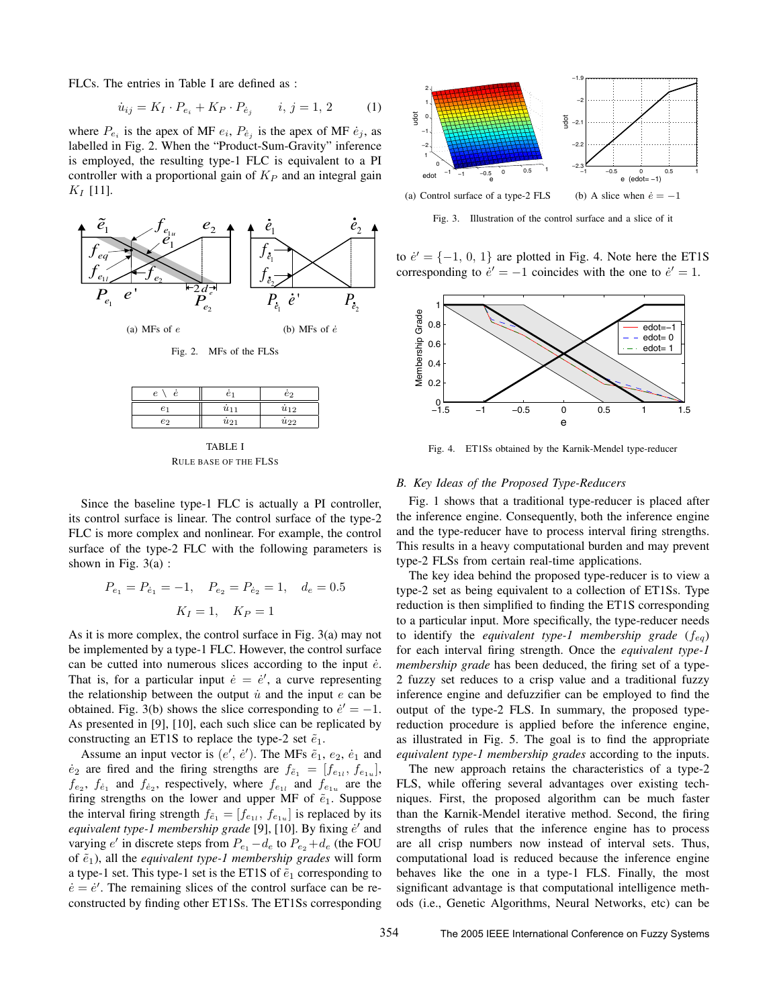FLCs. The entries in Table I are defined as :

$$
\dot{u}_{ij} = K_I \cdot P_{e_i} + K_P \cdot P_{\dot{e}_j} \qquad i, j = 1, 2 \tag{1}
$$

where  $P_{e_i}$  is the apex of MF  $e_i$ ,  $P_{e_j}$  is the apex of MF  $\dot{e}_j$ , as labelled in Fig. 2. When the "Product-Sum-Gravity" inference is employed, the resulting type-1 FLC is equivalent to a PI controller with a proportional gain of  $K<sub>P</sub>$  and an integral gain  $K_I$  [11].



| TABLE I                      |  |  |  |  |  |
|------------------------------|--|--|--|--|--|
| <b>RULE BASE OF THE FLSS</b> |  |  |  |  |  |

 $e_2$   $\parallel$   $\dot{u}_{21}$   $\parallel$   $\dot{u}_{22}$ 

Since the baseline type-1 FLC is actually a PI controller, its control surface is linear. The control surface of the type-2 FLC is more complex and nonlinear. For example, the control surface of the type-2 FLC with the following parameters is shown in Fig.  $3(a)$ :

$$
P_{e_1} = P_{e_1} = -1
$$
,  $P_{e_2} = P_{e_2} = 1$ ,  $d_e = 0.5$   
 $K_I = 1$ ,  $K_P = 1$ 

As it is more complex, the control surface in Fig. 3(a) may not be implemented by a type-1 FLC. However, the control surface can be cutted into numerous slices according to the input  $\dot{e}$ . That is, for a particular input  $\dot{e} = \dot{e}'$ , a curve representing the relationship between the output  $\dot{u}$  and the input e can be obtained. Fig. 3(b) shows the slice corresponding to  $e' = -1$ . As presented in [9], [10], each such slice can be replicated by constructing an ET1S to replace the type-2 set  $\tilde{e}_1$ .

Assume an input vector is  $(e', e')$ . The MFs  $\tilde{e}_1, e_2, \dot{e}_1$  and  $\dot{e}_2$  are fired and the firing strengths are  $f_{\tilde{e}_1} = [f_{e_{1l}}, f_{e_{1u}}]$ ,  $f_{e_2}$ ,  $f_{\dot{e}_1}$  and  $f_{\dot{e}_2}$ , respectively, where  $f_{e_{1l}}$  and  $f_{e_{1u}}$  are the firing strengths on the lower and upper MF of  $\tilde{e}_1$ . Suppose the interval firing strength  $f_{\tilde{e}_1} = [f_{e_{1l}}, f_{e_{1u}}]$  is replaced by its equivalent type-1 membership grade [9], [10]. By fixing e' and varying  $e'$  in discrete steps from  $P_{e_1} - d_e$  to  $P_{e_2} + d_e$  (the FOU of  $\tilde{e}_1$ ), all the *equivalent type-1 membership grades* will form a type-1 set. This type-1 set is the ET1S of  $\tilde{e}_1$  corresponding to  $\dot{e} = \dot{e}'$ . The remaining slices of the control surface can be reconstructed by finding other ET1Ss. The ET1Ss corresponding



Fig. 3. Illustration of the control surface and a slice of it

to  $e' = \{-1, 0, 1\}$  are plotted in Fig. 4. Note here the ET1S corresponding to  $\dot{e}' = -1$  coincides with the one to  $\dot{e}' = 1$ .



Fig. 4. ET1Ss obtained by the Karnik-Mendel type-reducer

# *B. Key Ideas of the Proposed Type-Reducers*

Fig. 1 shows that a traditional type-reducer is placed after the inference engine. Consequently, both the inference engine and the type-reducer have to process interval firing strengths. This results in a heavy computational burden and may prevent type-2 FLSs from certain real-time applications.

The key idea behind the proposed type-reducer is to view a type-2 set as being equivalent to a collection of ET1Ss. Type reduction is then simplified to finding the ET1S corresponding to a particular input. More specifically, the type-reducer needs to identify the *equivalent type-1 membership grade* ( $f_{eq}$ ) for each interval firing strength. Once the *equivalent type-1 membership grade* has been deduced, the firing set of a type-2 fuzzy set reduces to a crisp value and a traditional fuzzy inference engine and defuzzifier can be employed to find the output of the type-2 FLS. In summary, the proposed typereduction procedure is applied before the inference engine, as illustrated in Fig. 5. The goal is to find the appropriate *equivalent type-1 membership grades* according to the inputs.

The new approach retains the characteristics of a type-2 FLS, while offering several advantages over existing techniques. First, the proposed algorithm can be much faster than the Karnik-Mendel iterative method. Second, the firing strengths of rules that the inference engine has to process are all crisp numbers now instead of interval sets. Thus, computational load is reduced because the inference engine behaves like the one in a type-1 FLS. Finally, the most significant advantage is that computational intelligence methods (i.e., Genetic Algorithms, Neural Networks, etc) can be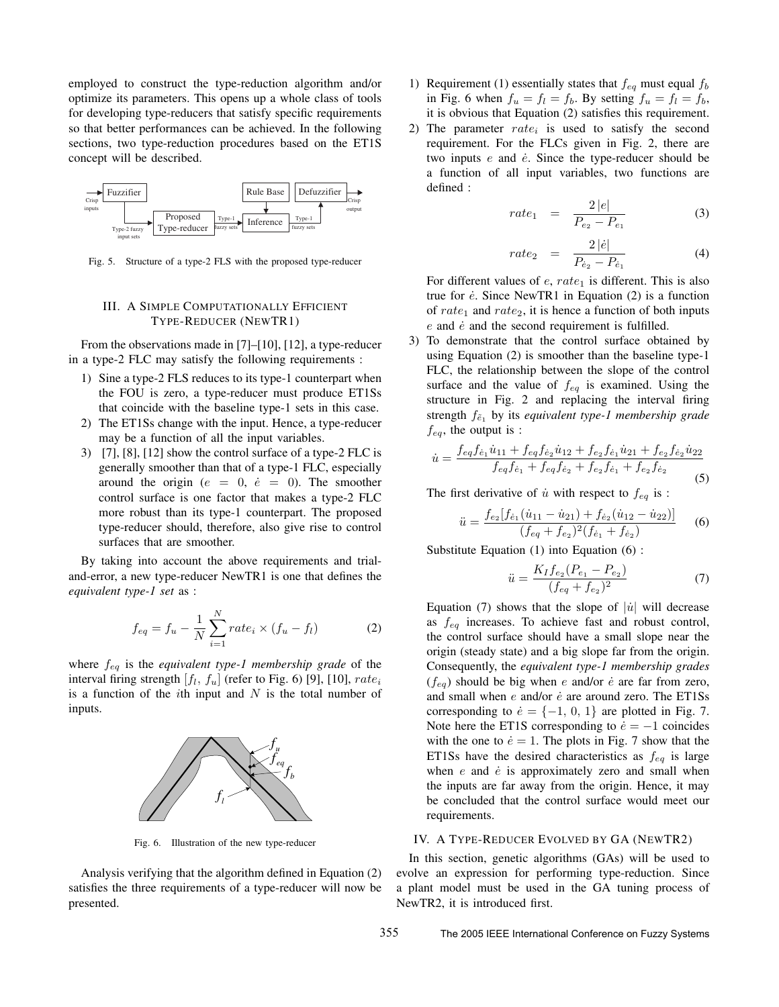employed to construct the type-reduction algorithm and/or optimize its parameters. This opens up a whole class of tools for developing type-reducers that satisfy specific requirements so that better performances can be achieved. In the following sections, two type-reduction procedures based on the ET1S concept will be described.



Fig. 5. Structure of a type-2 FLS with the proposed type-reducer

# III. A SIMPLE COMPUTATIONALLY EFFICIENT TYPE-REDUCER (NEWTR1)

From the observations made in [7]–[10], [12], a type-reducer in a type-2 FLC may satisfy the following requirements :

- 1) Sine a type-2 FLS reduces to its type-1 counterpart when the FOU is zero, a type-reducer must produce ET1Ss that coincide with the baseline type-1 sets in this case.
- 2) The ET1Ss change with the input. Hence, a type-reducer may be a function of all the input variables.
- 3) [7], [8], [12] show the control surface of a type-2 FLC is generally smoother than that of a type-1 FLC, especially around the origin ( $e = 0$ ,  $\dot{e} = 0$ ). The smoother control surface is one factor that makes a type-2 FLC more robust than its type-1 counterpart. The proposed type-reducer should, therefore, also give rise to control surfaces that are smoother.

By taking into account the above requirements and trialand-error, a new type-reducer NewTR1 is one that defines the *equivalent type-1 set* as :

$$
f_{eq} = f_u - \frac{1}{N} \sum_{i=1}^{N} rate_i \times (f_u - f_l)
$$
 (2)

where feq is the *equivalent type-1 membership grade* of the interval firing strength  $[f_l, f_u]$  (refer to Fig. 6) [9], [10],  $rate_i$ is a function of the *i*th input and  $N$  is the total number of inputs.



Fig. 6. Illustration of the new type-reducer

Analysis verifying that the algorithm defined in Equation (2) satisfies the three requirements of a type-reducer will now be presented.

- 1) Requirement (1) essentially states that  $f_{eq}$  must equal  $f_b$ in Fig. 6 when  $f_u = f_l = f_b$ . By setting  $f_u = f_l = f_b$ , it is obvious that Equation (2) satisfies this requirement.
- 2) The parameter  $rate_i$  is used to satisfy the second requirement. For the FLCs given in Fig. 2, there are two inputs  $e$  and  $\dot{e}$ . Since the type-reducer should be a function of all input variables, two functions are defined :

$$
rate_1 = \frac{2|e|}{P_{e_2} - P_{e_1}} \tag{3}
$$

$$
rate_2 = \frac{2|\dot{e}|}{P_{\dot{e}_2} - P_{\dot{e}_1}}
$$
 (4)

For different values of  $e$ ,  $rate_1$  is different. This is also true for  $\dot{e}$ . Since NewTR1 in Equation (2) is a function of rate<sub>1</sub> and rate<sub>2</sub>, it is hence a function of both inputs  $e$  and  $\dot{e}$  and the second requirement is fulfilled.

3) To demonstrate that the control surface obtained by using Equation (2) is smoother than the baseline type-1 FLC, the relationship between the slope of the control surface and the value of  $f_{eq}$  is examined. Using the structure in Fig. 2 and replacing the interval firing strength  $f_{\tilde{e}_1}$  by its *equivalent type-1 membership grade*  $f_{eq}$ , the output is :

$$
\dot{u} = \frac{f_{eq}f_{\dot{e}_1}\dot{u}_{11} + f_{eq}f_{\dot{e}_2}\dot{u}_{12} + f_{e_2}f_{\dot{e}_1}\dot{u}_{21} + f_{e_2}f_{\dot{e}_2}\dot{u}_{22}}{f_{eq}f_{\dot{e}_1} + f_{eq}f_{\dot{e}_2} + f_{e_2}f_{\dot{e}_1} + f_{e_2}f_{\dot{e}_2}}
$$
\n(5)

The first derivative of  $\dot{u}$  with respect to  $f_{eq}$  is :

$$
\ddot{u} = \frac{f_{e_2}[f_{\dot{e}_1}(\dot{u}_{11} - \dot{u}_{21}) + f_{\dot{e}_2}(\dot{u}_{12} - \dot{u}_{22})]}{(f_{eq} + f_{e_2})^2(f_{\dot{e}_1} + f_{\dot{e}_2})}
$$
(6)

Substitute Equation (1) into Equation (6) :

$$
\ddot{u} = \frac{K_I f_{e_2} (P_{e_1} - P_{e_2})}{(f_{e_1} + f_{e_2})^2} \tag{7}
$$

Equation (7) shows that the slope of  $|\dot{u}|$  will decrease as  $f_{eq}$  increases. To achieve fast and robust control, the control surface should have a small slope near the origin (steady state) and a big slope far from the origin. Consequently, the *equivalent type-1 membership grades*  $(f_{eq})$  should be big when e and/or e are far from zero, and small when  $e$  and/or  $\dot{e}$  are around zero. The ET1Ss corresponding to  $\dot{e} = \{-1, 0, 1\}$  are plotted in Fig. 7. Note here the ET1S corresponding to  $\dot{e} = -1$  coincides with the one to  $\dot{e} = 1$ . The plots in Fig. 7 show that the ET1Ss have the desired characteristics as  $f_{eq}$  is large when  $e$  and  $\dot{e}$  is approximately zero and small when the inputs are far away from the origin. Hence, it may be concluded that the control surface would meet our requirements.

## IV. A TYPE-REDUCER EVOLVED BY GA (NEWTR2)

In this section, genetic algorithms (GAs) will be used to evolve an expression for performing type-reduction. Since a plant model must be used in the GA tuning process of NewTR2, it is introduced first.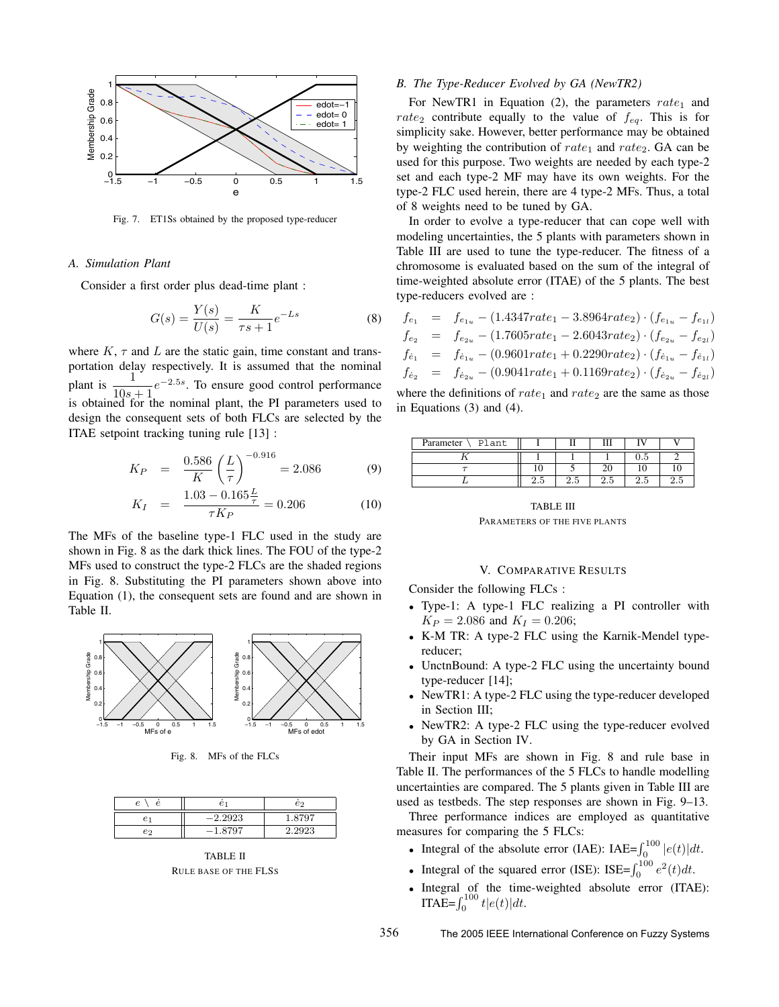

Fig. 7. ET1Ss obtained by the proposed type-reducer

#### *A. Simulation Plant*

Consider a first order plus dead-time plant :

$$
G(s) = \frac{Y(s)}{U(s)} = \frac{K}{\tau s + 1} e^{-L s}
$$
 (8)

where  $K$ ,  $\tau$  and  $L$  are the static gain, time constant and transportation delay respectively. It is assumed that the nominal plant is  $\frac{1}{10s + 1}e^{-2.5s}$ . To ensure good control performance is obtained for the nominal plant, the PI parameters used to design the consequent sets of both FLCs are selected by the ITAE setpoint tracking tuning rule [13] :

$$
K_P = \frac{0.586}{K} \left(\frac{L}{\tau}\right)^{-0.916} = 2.086 \tag{9}
$$

$$
K_I = \frac{1.03 - 0.165\frac{L}{\tau}}{\tau K_P} = 0.206
$$
 (10)

The MFs of the baseline type-1 FLC used in the study are shown in Fig. 8 as the dark thick lines. The FOU of the type-2 MFs used to construct the type-2 FLCs are the shaded regions in Fig. 8. Substituting the PI parameters shown above into Equation (1), the consequent sets are found and are shown in Table II.



Fig. 8. MFs of the FLCs

| e  | e         | еo     |
|----|-----------|--------|
|    | $-2.2923$ | 1.8797 |
| e2 | $-1.8797$ | 2.2923 |

TABLE II RULE BASE OF THE FLSS

# *B. The Type-Reducer Evolved by GA (NewTR2)*

For NewTR1 in Equation (2), the parameters  $rate_1$  and rate<sub>2</sub> contribute equally to the value of  $f_{eq}$ . This is for simplicity sake. However, better performance may be obtained by weighting the contribution of  $rate_1$  and  $rate_2$ . GA can be used for this purpose. Two weights are needed by each type-2 set and each type-2 MF may have its own weights. For the type-2 FLC used herein, there are 4 type-2 MFs. Thus, a total of 8 weights need to be tuned by GA.

In order to evolve a type-reducer that can cope well with modeling uncertainties, the 5 plants with parameters shown in Table III are used to tune the type-reducer. The fitness of a chromosome is evaluated based on the sum of the integral of time-weighted absolute error (ITAE) of the 5 plants. The best type-reducers evolved are :

$$
f_{e_1} = f_{e_{1u}} - (1.4347rate_1 - 3.8964rate_2) \cdot (f_{e_{1u}} - f_{e_{1l}})
$$
  
\n
$$
f_{e_2} = f_{e_{2u}} - (1.7605rate_1 - 2.6043rate_2) \cdot (f_{e_{2u}} - f_{e_{2l}})
$$
  
\n
$$
f_{\dot{e}_1} = f_{\dot{e}_{1u}} - (0.9601rate_1 + 0.2290rate_2) \cdot (f_{\dot{e}_{1u}} - f_{\dot{e}_{1l}})
$$
  
\n
$$
f_{\dot{e}_2} = f_{\dot{e}_{2u}} - (0.9041rate_1 + 0.1169rate_2) \cdot (f_{\dot{e}_{2u}} - f_{\dot{e}_{2l}})
$$

where the definitions of  $rate_1$  and  $rate_2$  are the same as those in Equations (3) and (4).

| Plant<br>Parameter |               |     | Ш        |     |     |
|--------------------|---------------|-----|----------|-----|-----|
|                    |               |     |          |     |     |
|                    |               |     |          |     |     |
|                    | ۔<br>ິ<br>∠.പ | ن ک | ∩<br>∠.⊍ | ن.⊿ | ۵.٤ |

TABLE III PARAMETERS OF THE FIVE PLANTS

# V. COMPARATIVE RESULTS

Consider the following FLCs :

- Type-1: A type-1 FLC realizing a PI controller with  $K_P = 2.086$  and  $K_I = 0.206$ ;
- K-M TR: A type-2 FLC using the Karnik-Mendel typereducer;
- UnctnBound: A type-2 FLC using the uncertainty bound type-reducer [14];
- NewTR1: A type-2 FLC using the type-reducer developed in Section III;
- NewTR2: A type-2 FLC using the type-reducer evolved by GA in Section IV.

Their input MFs are shown in Fig. 8 and rule base in Table II. The performances of the 5 FLCs to handle modelling uncertainties are compared. The 5 plants given in Table III are used as testbeds. The step responses are shown in Fig. 9–13.

Three performance indices are employed as quantitative measures for comparing the 5 FLCs:

- Integral of the absolute error (IAE): IAE= $\int_0^{100} |e(t)| dt$ .
- Integral of the squared error (ISE): ISE= $\int_0^{100} e^2(t)dt$ .
- Integral of the time-weighted absolute error (ITAE): **ITAE=** $\int_0^{100} t |e(t)| dt$ .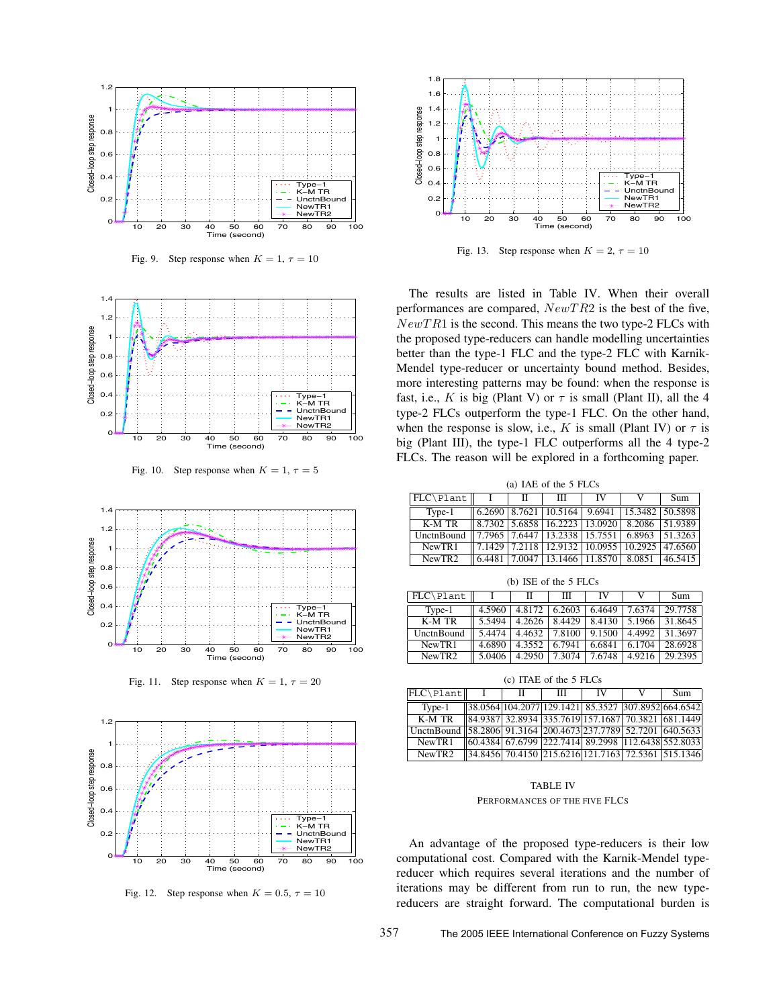

Fig. 9. Step response when  $K = 1, \tau = 10$ 



Fig. 10. Step response when  $K = 1, \tau = 5$ 



Fig. 11. Step response when  $K = 1, \tau = 20$ 



Fig. 12. Step response when  $K = 0.5$ ,  $\tau = 10$ 



Fig. 13. Step response when  $K = 2, \tau = 10$ 

The results are listed in Table IV. When their overall performances are compared,  $NewTR2$  is the best of the five,  $NewTR1$  is the second. This means the two type-2 FLCs with the proposed type-reducers can handle modelling uncertainties better than the type-1 FLC and the type-2 FLC with Karnik-Mendel type-reducer or uncertainty bound method. Besides, more interesting patterns may be found: when the response is fast, i.e., K is big (Plant V) or  $\tau$  is small (Plant II), all the 4 type-2 FLCs outperform the type-1 FLC. On the other hand, when the response is slow, i.e., K is small (Plant IV) or  $\tau$  is big (Plant III), the type-1 FLC outperforms all the 4 type-2 FLCs. The reason will be explored in a forthcoming paper.

(a) IAE of the 5 FLCs

| $ FLC\rangle$ Plant $  $                                            | - 11 | Ш                                                                                                    | IV | Sum |
|---------------------------------------------------------------------|------|------------------------------------------------------------------------------------------------------|----|-----|
| $Type-1$                                                            |      | $\parallel$ 6.2690   8.7621   10.5164   9.6941   15.3482   50.5898                                   |    |     |
| $K-MTR$                                                             |      | $\left[ \left  8.7302 \right  5.6858 \right  16.2223 \left  13.0920 \right  8.2086 \right  51.9389$  |    |     |
| UnctnBound   7.7965   7.6447   13.2338   15.7551   6.8963   51.3263 |      |                                                                                                      |    |     |
| NewTR1                                                              |      | $\left  \left  7.1429 \right  7.2118 \right  12.9132 \left  10.0955 \right  10.2925 \right  47.6560$ |    |     |
| NewTR <sub>2</sub>                                                  |      | $\vert$ 6.4481   7.0047   13.1466   11.8570   8.0851   46.5415                                       |    |     |

| (b) ISE of the 5 FLCs |        |        |        |        |        |         |
|-----------------------|--------|--------|--------|--------|--------|---------|
| FLC\Plant             |        | н      | Ш      | IV     |        | Sum     |
| Type-1                | 4.5960 | 4.8172 | 6.2603 | 6.4649 | 7.6374 | 29.7758 |
| K-M TR                | 5.5494 | 4.2626 | 8.4429 | 8.4130 | 5.1966 | 31.8645 |
| UnctnBound            | 5.4474 | 4.4632 | 7.8100 | 9.1500 | 4.4992 | 31.3697 |
| NewTR1                | 4.6890 | 4.3552 | 6.7941 | 6.6841 | 6.1704 | 28.6928 |
| NewTR <sub>2</sub>    | 5.0406 | 4.2950 | 7.3074 | 7.6748 | 4.9216 | 29.2395 |

(c) ITAE of the 5 FLCs FLC\Plant|| I || II || III || IV || V || Sum Type-1 38.0564 104.2077 129.1421 85.3527 307.8952 664.6542<br>
K-M TR 84.9387 32.8934 335.7619 157.1687 70.3821 681.1449 84.9387 32.8934 335.7619 157.1687 UnctnBound 58.2806 91.3164 200.4673 237.7789 52.7201 640.5633<br>NewTR1 60.4384 67.6799 222.7414 89.2998 112.6438 552.8033 NewTR1 60.4384 67.6799 222.7414 89.2998 112.6438 552.8033<br>NewTR2 34.8456 70.4150 215.6216 121.7163 72.5361 515.1346 NewTR2 34.8456 70.4150 215.6216 121.7163 72.5361 515.1346

NewTR2 5.0406 4.2950 7.3074 7.6748 4.9216 29.2395

## TABLE IV

PERFORMANCES OF THE FIVE FLCS

An advantage of the proposed type-reducers is their low computational cost. Compared with the Karnik-Mendel typereducer which requires several iterations and the number of iterations may be different from run to run, the new typereducers are straight forward. The computational burden is